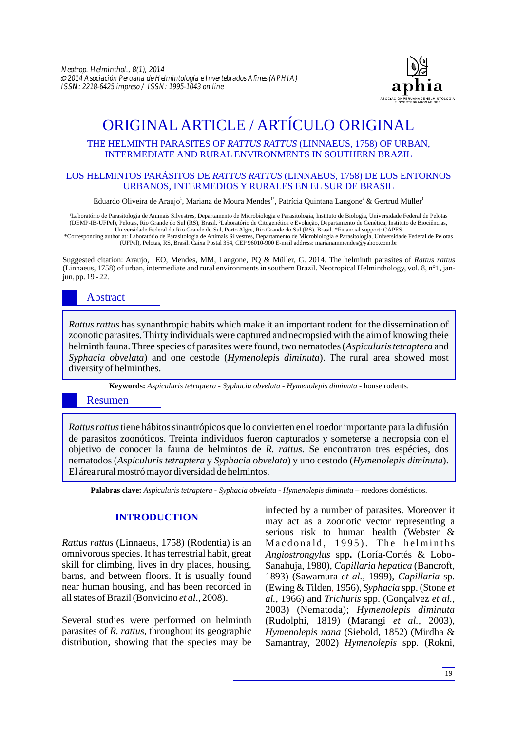

# ORIGINAL ARTICLE / ARTÍCULO ORIGINAL

## THE HELMINTH PARASITES OF *RATTUS RATTUS* (LINNAEUS, 1758) OF URBAN, INTERMEDIATE AND RURAL ENVIRONMENTS IN SOUTHERN BRAZIL

## LOS HELMINTOS PARÁSITOS DE *RATTUS RATTUS* (LINNAEUS, 1758) DE LOS ENTORNOS URBANOS, INTERMEDIOS Y RURALES EN EL SUR DE BRASIL

Eduardo Oliveira de Araujo', Mariana de Moura Mendes'˚, Patrícia Quintana Langone $^2$  & Gertrud Müller'

'Laboratório de Parasitologia de Animais Silvestres, Departamento de Microbiologia e Parasitologia, Instituto de Biologia, Universidade Federal de Pelotas<br>(DEMP-IB-UFPel), Pelotas, Rio Grande do Sul (RS), Brasil. <del>'</del>Labora Universidade Federal do Rio Grande do Sul, Porto Algre, Rio Grande do Sul (RS), Brasil. \*Financial support: CAPES

\*Corresponding author at: Laboratório de Parasitologia de Animais Silvestres, Departamento de Microbiologia e Parasitologia, Universidade Federal de Pelotas (UFPel), Pelotas, RS, Brasil. Caixa Postal 354, CEP 96010-900 E-mail address: marianammendes@yahoo.com.br

Suggested citation: Araujo, EO, Mendes, MM, Langone, PQ & Müller, G. 2014. The helminth parasites of *Rattus rattus*  (Linnaeus, 1758) of urban, intermediate and rural environments in southern Brazil. Neotropical Helminthology, vol. 8, n°1, janjun, pp. 19 - 22.

## Abstract

*Rattus rattus* has synanthropic habits which make it an important rodent for the dissemination of zoonotic parasites. Thirty individuals were captured and necropsied with the aim of knowing theie helminth fauna. Three species of parasites were found, two nematodes (*Aspiculuris tetraptera* and *Syphacia obvelata*) and one cestode (*Hymenolepis diminuta*). The rural area showed most diversity of helminthes.

**Keywords:** *Aspiculuris tetraptera* - *Syphacia obvelata - Hymenolepis diminuta -* house rodents.

## Resumen

*Rattus rattus* tiene hábitos sinantrópicos que lo convierten en el roedor importante para la difusión de parasitos zoonóticos. Treinta individuos fueron capturados y someterse a necropsia con el objetivo de conocer la fauna de helmintos de *R. rattus.* Se encontraron tres espécies, dos nematodos (*Aspiculuris tetraptera* y *Syphacia obvelata*) y uno cestodo (*Hymenolepis diminuta*). El área rural mostró mayor diversidad de helmintos.

**Palabras clave:** *Aspiculuris tetraptera* - *Syphacia obvelata - Hymenolepis diminuta –* roedores domésticos.

## **INTRODUCTION**

*Rattus rattus* (Linnaeus, 1758) (Rodentia) is an omnivorous species. It has terrestrial habit, great skill for climbing, lives in dry places, housing, barns, and between floors. It is usually found near human housing, and has been recorded in all states of Brazil (Bonvicino *et al*., 2008).

Several studies were performed on helminth parasites of *R. rattus*, throughout its geographic distribution, showing that the species may be infected by a number of parasites. Moreover it may act as a zoonotic vector representing a serious risk to human health (Webster & Macdonald, 1995). The helminths *Angiostrongylus* spp**.** (Loría-Cortés & Lobo-Sanahuja, 1980), *Capillaria hepatica* (Bancroft, 1893) (Sawamura *et al.,* 1999), *Capillaria* sp. (Ewing & Tilden, 1956), *Syphacia* spp. (Stone *et al.,* 1966) and *Trichuris* spp. (Gonçalvez *et al.,* 2003) (Nematoda); *Hymenolepis diminuta* (Rudolphi, 1819) (Marangi *et al.,* 2003), *Hymenolepis nana* (Siebold, 1852) (Mirdha & Samantray, 2002) *Hymenolepis* spp. (Rokni,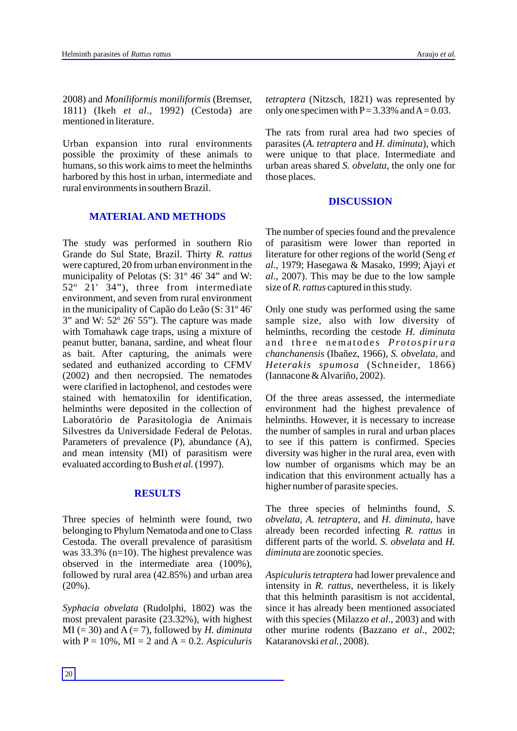2008) and *Moniliformis moniliformis* (Bremser, 1811) (Ikeh *et al*., 1992) (Cestoda) are mentioned in literature.

Urban expansion into rural environments possible the proximity of these animals to humans, so this work aims to meet the helminths harbored by this host in urban, intermediate and rural environments in southern Brazil.

## **MATERIALAND METHODS**

The study was performed in southern Rio Grande do Sul State, Brazil. Thirty *R. rattus*  were captured, 20 from urban environment in the municipality of Pelotas (S: 31º 46' 34" and W:  $52^{\circ}$   $2\overline{1}$   $34^{\circ}$ ), three from intermediate environment, and seven from rural environment in the municipality of Capão do Leão (S: 31º 46' 3" and W: 52º 26' 55"). The capture was made with Tomahawk cage traps, using a mixture of peanut butter, banana, sardine, and wheat flour as bait. After capturing, the animals were sedated and euthanized according to CFMV (2002) and then necropsied. The nematodes were clarified in lactophenol, and cestodes were stained with hematoxilin for identification, helminths were deposited in the collection of Laboratório de Parasitologia de Animais Silvestres da Universidade Federal de Pelotas. Parameters of prevalence (P), abundance (A), and mean intensity (MI) of parasitism were evaluated according to Bush *et al.* (1997).

### **RESULTS**

Three species of helminth were found, two belonging to Phylum Nematoda and one to Class Cestoda. The overall prevalence of parasitism was 33.3% (n=10). The highest prevalence was observed in the intermediate area (100%), followed by rural area (42.85%) and urban area (20%).

*Syphacia obvelata* (Rudolphi, 1802) was the most prevalent parasite (23.32%), with highest MI ( $= 30$ ) and A ( $= 7$ ), followed by *H. diminuta* with  $P = 10\%$ ,  $MI = 2$  and  $A = 0.2$ . *Aspiculuris*  *tetraptera* (Nitzsch, 1821) was represented by only one specimen with  $P = 3.33\%$  and  $A = 0.03$ .

The rats from rural area had two species of parasites (*A. tetraptera* and *H. diminuta*), which were unique to that place. Intermediate and urban areas shared *S. obvelata*, the only one for those places.

#### **DISCUSSION**

The number of species found and the prevalence of parasitism were lower than reported in literature for other regions of the world (Seng *et al.,* 1979; Hasegawa & Masako, 1999; Ajayi *et al*., 2007). This may be due to the low sample size of *R. rattus* captured in this study.

Only one study was performed using the same sample size, also with low diversity of helminths, recording the cestode *H. diminuta*  and three nematodes *Protospirura chanchanensis* (Ibañez, 1966), *S. obvelata,* and *Heterakis spumosa* (Schneider, 1866) (Iannacone & Alvariño, 2002).

Of the three areas assessed, the intermediate environment had the highest prevalence of helminths. However, it is necessary to increase the number of samples in rural and urban places to see if this pattern is confirmed. Species diversity was higher in the rural area, even with low number of organisms which may be an indication that this environment actually has a higher number of parasite species.

The three species of helminths found, *S. obvelata, A. tetraptera,* and *H. diminuta*, have already been recorded infecting *R. rattus* in different parts of the world. *S. obvelata* and *H. diminuta* are zoonotic species.

*Aspiculuris tetraptera* had lower prevalence and intensity in *R. rattus,* nevertheless, it is likely that this helminth parasitism is not accidental, since it has already been mentioned associated with this species (Milazzo *et al*., 2003) and with other murine rodents (Bazzano *et al*., 2002; Kataranovski *et al.,* 2008).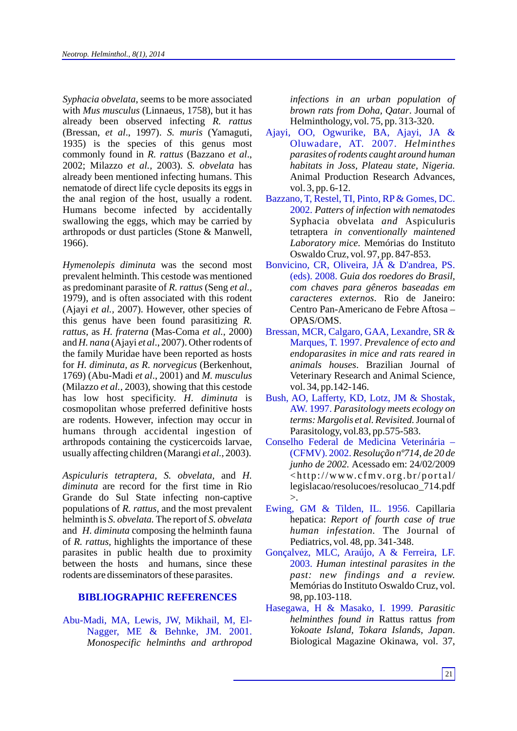*Syphacia obvelata*, seems to be more associated with *Mus musculus* (Linnaeus, 1758), but it has already been observed infecting *R. rattus*  (Bressan, *et al*., 1997). *S. muris* (Yamaguti, 1935) is the species of this genus most commonly found in *R. rattus* (Bazzano *et al*., 2002; Milazzo *et al.,* 2003). *S. obvelata* has already been mentioned infecting humans. This nematode of direct life cycle deposits its eggs in the anal region of the host, usually a rodent. Humans become infected by accidentally swallowing the eggs, which may be carried by arthropods or dust particles (Stone & Manwell*,* 1966).

*Hymenolepis diminuta* was the second most prevalent helminth. This cestode was mentioned as predominant parasite of *R. rattus* (Seng *et al.,* 1979), and is often associated with this rodent (Ajayi *et al.,* 2007). However, other species of this genus have been found parasitizing *R. rattus*, as *H. fraterna* (Mas-Coma *et al.,* 2000) and *H. nana* (Ajayi *et al*., 2007). Other rodents of the family Muridae have been reported as hosts for *H. diminuta, as R. norvegicus* (Berkenhout, 1769) (Abu-Madi *et al*., 2001) and *M. musculus*  (Milazzo *et al.,* 2003), showing that this cestode has low host specificity. *H. diminuta* is cosmopolitan whose preferred definitive hosts are rodents. However, infection may occur in humans through accidental ingestion of arthropods containing the cysticercoids larvae, usually affecting children (Marangi *et al.,* 2003).

*Aspiculuris tetraptera, S. obvelata,* and *H. diminuta* are record for the first time in Rio Grande do Sul State infecting non-captive populations of *R. rattus*, and the most prevalent helminth is *S. obvelata.* The report of *S. obvelata*  and *H. diminuta* composing the helminth fauna of *R. rattus,* highlights the importance of these parasites in public health due to proximity between the hosts and humans, since these rodents are disseminators of these parasites.

### **BIBLIOGRAPHIC REFERENCES**

Abu-Madi, MA, Lewis, JW, Mikhail, M, El-Nagger, ME & Behnke, JM. 2001. *Monospecific helminths and arthropod* *infections in an urban population of brown rats from Doha, Qatar*. Journal of Helminthology, vol. 75, pp. 313-320.

- *Helminthes* Oluwadare, AT. 2007. *parasites of rodents caught around human habitats in Joss, Plateau state, Nigeria.* Animal Production Research Advances, vol. 3, pp. 6-12. Ajayi, OO, Ogwurike, BA, Ajayi, JA &
- *Patters of infection with nematodes* 2002. Syphacia obvelata *and* Aspiculuris tetraptera *in conventionally maintened Laboratory mice.* Memórias do Instituto Oswaldo Cruz, vol. 97, pp. 847-853. Bazzano, T, Restel, TI, Pinto, RP & Gomes, DC.
- *Guia dos roedores do Brasil,*  (eds). 2008. *com chaves para gêneros baseadas em caracteres externos*. Rio de Janeiro: Centro Pan-Americano de Febre Aftosa – OPAS/OMS. Bonvicino, CR, Oliveira, JÁ & D'andrea, PS.
- Marques, T. 1997. Prevalence of ecto and *endoparasites in mice and rats reared in animals houses*. Brazilian Journal of Veterinary Research and Animal Science*,*  vol. 34, pp.142-146. Bressan, MCR, Calgaro, GAA, Lexandre, SR &
- *Parasitology meets ecology on*  AW. 1997. *terms: Margolis et al. Revisited.*Journal of Parasitology, vol.83, pp.575-583. Bush, AO, Lafferty, KD, Lotz, JM & Shostak,
- *Resolução nº714, de 20 de*  (CFMV). 2002. *junho de 2002.* Acessado em: 24/02/2009  $\langle$ http://www.cfmv.org.br/portal/ legislacao/resolucoes/resolucao\_714.pdf  $>$ . Conselho Federal de Medicina Veterinária –
- Ewing, GM & Tilden, IL. 1956. Capillaria hepatica: *Report of fourth case of true human infestation.* The Journal of Pediatrics, vol. 48, pp. 341-348.
- *Human intestinal parasites in the*  2003. *past: new findings and a review.* Memórias do Instituto Oswaldo Cruz, vol. 98, pp.103-118. Gonçalvez, MLC, Araújo, A & Ferreira, LF.
- *Parasitic*  Hasegawa, H & Masako, I. 1999. *helminthes found in* Rattus rattus *from Yokoate Island, Tokara Islands, Japan*. Biological Magazine Okinawa, vol. 37,